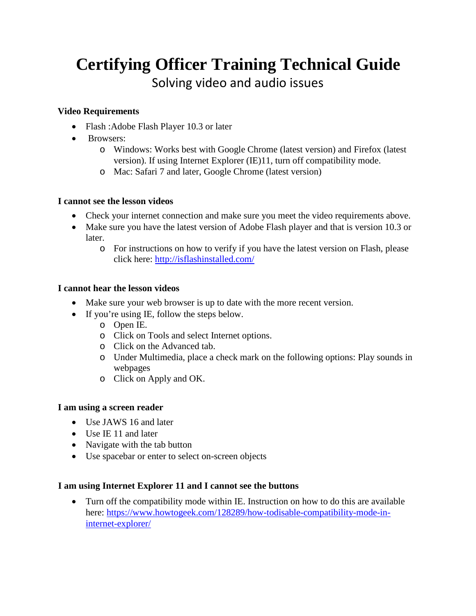# **Certifying Officer Training Technical Guide** Solving video and audio issues

### **Video Requirements**

- Flash : Adobe Flash Player [1](http://www.adobe.com/go/getflash)0.3 or later
- Browsers:
	- o Windows: Works best with Google Chrome (latest version) and Firefox (latest version). If using Internet Explorer (IE)11, turn off compatibility mode.
	- o Mac: Safari 7 and later, Google Chrome (latest version)

## **I cannot see the lesson videos**

- Check your internet connection and make sure you meet the video requirements above.
- Make sure you have the latest version of Adobe Flash player and that is version 10.3 or later.
	- o For instructions on how to verify if you have the latest version on Flash, please click here:<http://isflashinstalled.com/>

## **I cannot hear the lesson videos**

- Make sure your web browser is up to date with the more recent version.
- If you're using IE, follow the steps below.
	- o Open IE.
	- o Click on Tools and select Internet options.
	- o Click on the Advanced tab.
	- o Under Multimedia, place a check mark on the following options: Play sounds in webpages
	- o Click on Apply and OK.

#### **I am using a screen reader**

- Use JAWS 16 and later
- Use IE 11 and later
- Navigate with the tab button
- Use spacebar or enter to select on-screen objects

#### **I am using Internet Explorer 11 and I cannot see the buttons**

• Turn off the compatibility mode within IE. Instruction on how to do this are available here: [https://www.howtogeek.com/128289/how-todisable-compatibility-mode-in](https://www.howtogeek.com/128289/how-to-disable-compatibility-mode-in-internet-explorer/)[internet-explorer/](https://www.howtogeek.com/128289/how-to-disable-compatibility-mode-in-internet-explorer/)